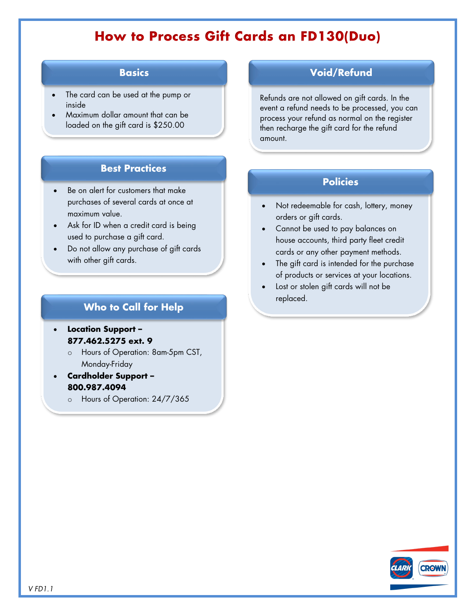# **How to Process Gift Cards an FD130(Duo)**

## **Basics**

- The card can be used at the pump or inside
- Maximum dollar amount that can be loaded on the gift card is \$250.00

## **Best Practices**

- **Policies Policies Policies** purchases of several cards at once at maximum value.
- Ask for ID when a credit card is being used to purchase a gift card.
- Do not allow any purchase of gift cards with other gift cards.

## **Who to Call for Help**

- **Location Support – 877.462.5275 ext. 9**
	- o Hours of Operation: 8am-5pm CST, Monday-Friday
- **Cardholder Support – 800.987.4094**
	- o Hours of Operation: 24/7/365

### **Void/Refund**

Refunds are not allowed on gift cards. In the event a refund needs to be processed, you can process your refund as normal on the register then recharge the gift card for the refund amount.

- Not redeemable for cash, lottery, money orders or gift cards.
- Cannot be used to pay balances on house accounts, third party fleet credit cards or any other payment methods.
- The gift card is intended for the purchase of products or services at your locations.
- Lost or stolen gift cards will not be replaced.